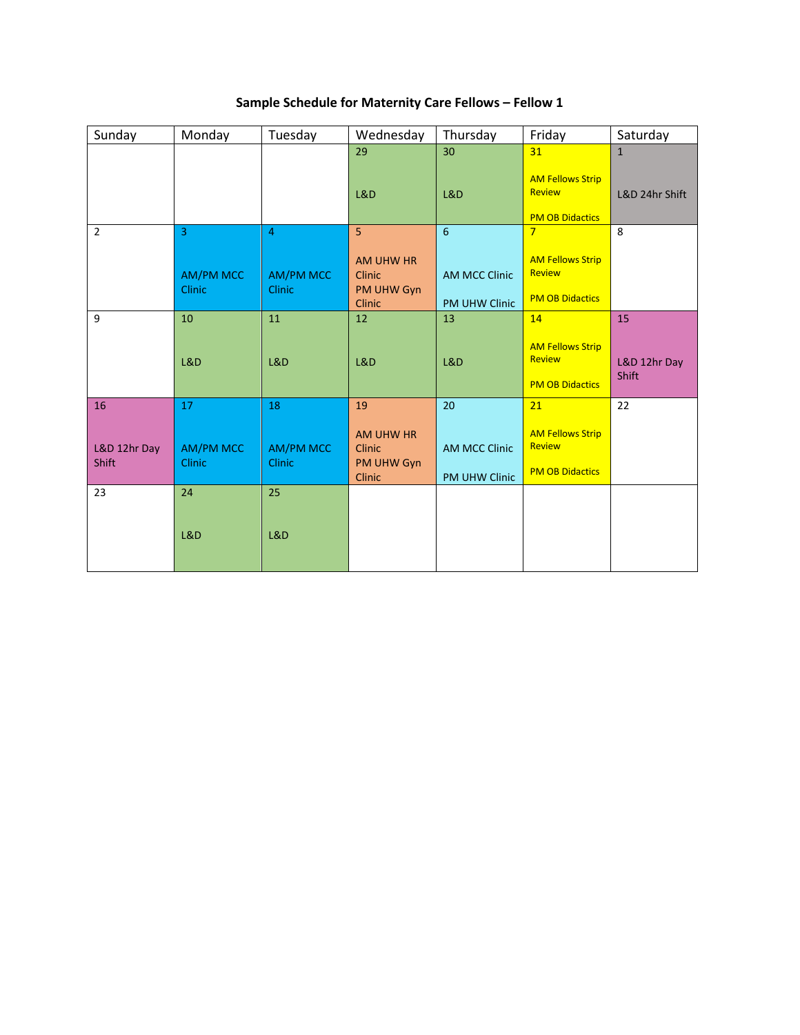| Sample Schedule for Maternity Care Fellows - Fellow 1 |  |  |  |
|-------------------------------------------------------|--|--|--|
|-------------------------------------------------------|--|--|--|

| Sunday                | Monday                            | Tuesday                           | Wednesday                                                 | Thursday                                     | Friday                                                             | Saturday                     |
|-----------------------|-----------------------------------|-----------------------------------|-----------------------------------------------------------|----------------------------------------------|--------------------------------------------------------------------|------------------------------|
|                       |                                   |                                   | 29                                                        | 30                                           | 31                                                                 | $\mathbf{1}$                 |
|                       |                                   |                                   | L&D                                                       | L&D                                          | <b>AM Fellows Strip</b><br><b>Review</b><br><b>PM OB Didactics</b> | L&D 24hr Shift               |
| $\overline{2}$        | $\overline{3}$                    | $\overline{4}$                    | 5                                                         | $6\overline{6}$                              | $\overline{7}$                                                     | 8                            |
|                       | <b>AM/PM MCC</b><br><b>Clinic</b> | <b>AM/PM MCC</b><br><b>Clinic</b> | AM UHW HR<br><b>Clinic</b><br>PM UHW Gyn<br><b>Clinic</b> | <b>AM MCC Clinic</b><br><b>PM UHW Clinic</b> | <b>AM Fellows Strip</b><br><b>Review</b><br><b>PM OB Didactics</b> |                              |
| 9                     | 10                                | 11                                | 12                                                        | 13                                           | 14                                                                 | 15                           |
|                       | <b>L&amp;D</b>                    | L&D                               | L&D                                                       | L&D                                          | <b>AM Fellows Strip</b><br><b>Review</b><br><b>PM OB Didactics</b> | L&D 12hr Day<br><b>Shift</b> |
| 16                    | 17                                | 18                                | 19                                                        | 20                                           | 21                                                                 | 22                           |
| L&D 12hr Day<br>Shift | <b>AM/PM MCC</b><br><b>Clinic</b> | <b>AM/PM MCC</b><br><b>Clinic</b> | AM UHW HR<br><b>Clinic</b><br>PM UHW Gyn<br>Clinic        | <b>AM MCC Clinic</b><br>PM UHW Clinic        | <b>AM Fellows Strip</b><br><b>Review</b><br><b>PM OB Didactics</b> |                              |
| 23                    | 24                                | 25                                |                                                           |                                              |                                                                    |                              |
|                       | L&D                               | L&D                               |                                                           |                                              |                                                                    |                              |